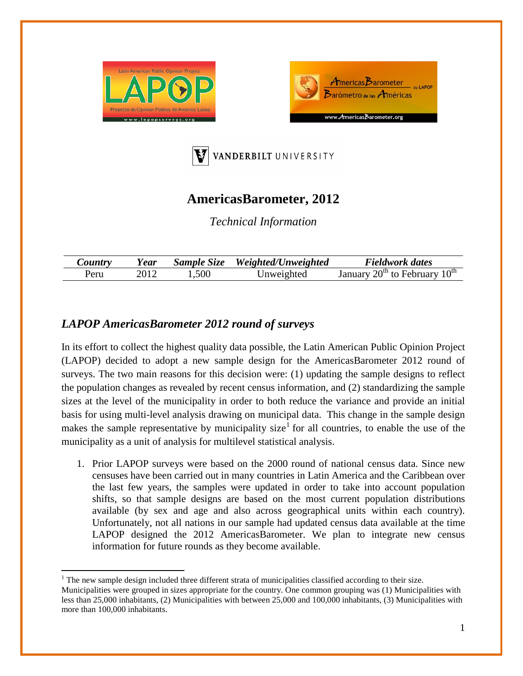





## **AmericasBarometer, 2012**

*Technical Information*

| $\mathcal{L}$ ountry | <i>Y ear</i> | Sample Size | Weighted/Unweighted | Fieldwork dates               |
|----------------------|--------------|-------------|---------------------|-------------------------------|
| Peru                 |              | l.500       | Inweighted          | $20th$ to February<br>Januarv |

## *LAPOP AmericasBarometer 2012 round of surveys*

In its effort to collect the highest quality data possible, the Latin American Public Opinion Project (LAPOP) decided to adopt a new sample design for the AmericasBarometer 2012 round of surveys. The two main reasons for this decision were: (1) updating the sample designs to reflect the population changes as revealed by recent census information, and (2) standardizing the sample sizes at the level of the municipality in order to both reduce the variance and provide an initial basis for using multi-level analysis drawing on municipal data. This change in the sample design makes the sample representative by municipality size<sup>[1](#page-0-0)</sup> for all countries, to enable the use of the municipality as a unit of analysis for multilevel statistical analysis.

1. Prior LAPOP surveys were based on the 2000 round of national census data. Since new censuses have been carried out in many countries in Latin America and the Caribbean over the last few years, the samples were updated in order to take into account population shifts, so that sample designs are based on the most current population distributions available (by sex and age and also across geographical units within each country). Unfortunately, not all nations in our sample had updated census data available at the time LAPOP designed the 2012 AmericasBarometer. We plan to integrate new census information for future rounds as they become available.

<span id="page-0-1"></span><span id="page-0-0"></span><sup>&</sup>lt;sup>1</sup> The new sample design included three different strata of municipalities classified according to their size. Municipalities were grouped in sizes appropriate for the country. One common grouping was (1) Municipalities with less than 25,000 inhabitants, (2) Municipalities with between 25,000 and 100,000 inhabitants, (3) Municipalities with more than 100,000 inhabitants.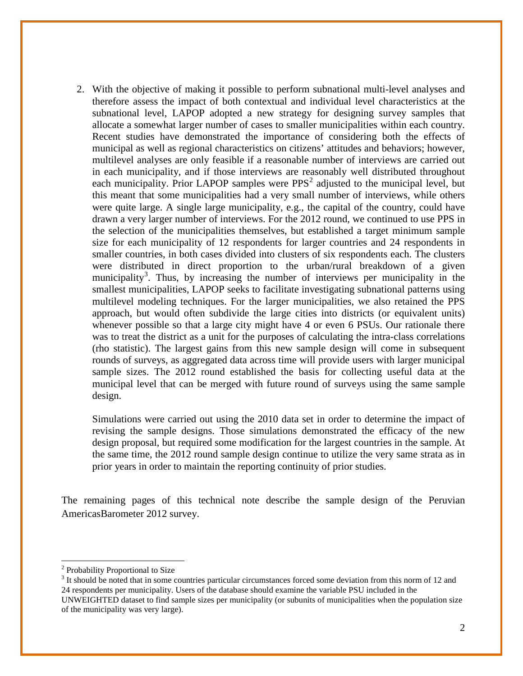2. With the objective of making it possible to perform subnational multi-level analyses and therefore assess the impact of both contextual and individual level characteristics at the subnational level, LAPOP adopted a new strategy for designing survey samples that allocate a somewhat larger number of cases to smaller municipalities within each country. Recent studies have demonstrated the importance of considering both the effects of municipal as well as regional characteristics on citizens' attitudes and behaviors; however, multilevel analyses are only feasible if a reasonable number of interviews are carried out in each municipality, and if those interviews are reasonably well distributed throughout each municipality. Prior LAPOP samples were  $PPS<sup>2</sup>$  $PPS<sup>2</sup>$  $PPS<sup>2</sup>$  adjusted to the municipal level, but this meant that some municipalities had a very small number of interviews, while others were quite large. A single large municipality, e.g., the capital of the country, could have drawn a very larger number of interviews. For the 2012 round, we continued to use PPS in the selection of the municipalities themselves, but established a target minimum sample size for each municipality of 12 respondents for larger countries and 24 respondents in smaller countries, in both cases divided into clusters of six respondents each. The clusters were distributed in direct proportion to the urban/rural breakdown of a given municipality<sup>[3](#page-1-0)</sup>. Thus, by increasing the number of interviews per municipality in the smallest municipalities, LAPOP seeks to facilitate investigating subnational patterns using multilevel modeling techniques. For the larger municipalities, we also retained the PPS approach, but would often subdivide the large cities into districts (or equivalent units) whenever possible so that a large city might have 4 or even 6 PSUs. Our rationale there was to treat the district as a unit for the purposes of calculating the intra-class correlations (rho statistic). The largest gains from this new sample design will come in subsequent rounds of surveys, as aggregated data across time will provide users with larger municipal sample sizes. The 2012 round established the basis for collecting useful data at the municipal level that can be merged with future round of surveys using the same sample design.

Simulations were carried out using the 2010 data set in order to determine the impact of revising the sample designs. Those simulations demonstrated the efficacy of the new design proposal, but required some modification for the largest countries in the sample. At the same time, the 2012 round sample design continue to utilize the very same strata as in prior years in order to maintain the reporting continuity of prior studies.

The remaining pages of this technical note describe the sample design of the Peruvian AmericasBarometer 2012 survey.

<sup>2</sup> Probability Proportional to Size

<span id="page-1-0"></span> $3$  It should be noted that in some countries particular circumstances forced some deviation from this norm of 12 and 24 respondents per municipality. Users of the database should examine the variable PSU included in the UNWEIGHTED dataset to find sample sizes per municipality (or subunits of municipalities when the population size of the municipality was very large).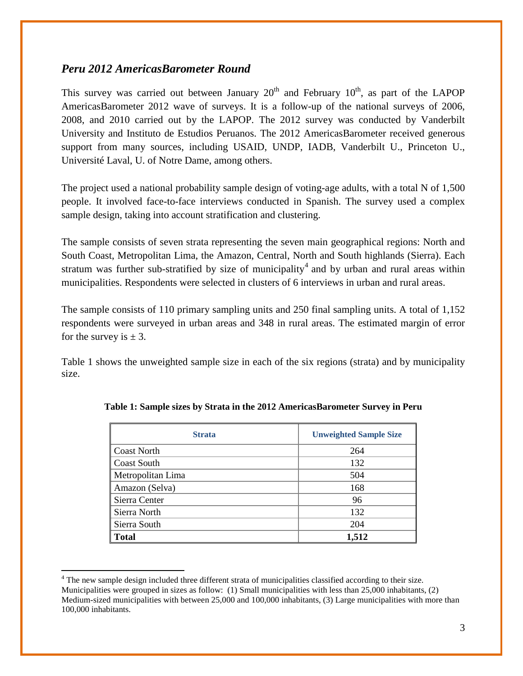## *Peru 2012 AmericasBarometer Round*

This survey was carried out between January  $20<sup>th</sup>$  and February  $10<sup>th</sup>$ , as part of the LAPOP AmericasBarometer 2012 wave of surveys. It is a follow-up of the national surveys of 2006, 2008, and 2010 carried out by the LAPOP. The 2012 survey was conducted by Vanderbilt University and Instituto de Estudios Peruanos. The 2012 AmericasBarometer received generous support from many sources, including USAID, UNDP, IADB, Vanderbilt U., Princeton U., Université Laval, U. of Notre Dame, among others.

The project used a national probability sample design of voting-age adults, with a total N of 1,500 people. It involved face-to-face interviews conducted in Spanish. The survey used a complex sample design, taking into account stratification and clustering.

The sample consists of seven strata representing the seven main geographical regions: North and South Coast, Metropolitan Lima, the Amazon, Central, North and South highlands (Sierra). Each stratum was further sub-stratified by size of municipality<sup>[4](#page-1-0)</sup> and by urban and rural areas within municipalities. Respondents were selected in clusters of 6 interviews in urban and rural areas.

The sample consists of 110 primary sampling units and 250 final sampling units. A total of 1,152 respondents were surveyed in urban areas and 348 in rural areas. The estimated margin of error for the survey is  $\pm$  3.

Table 1 shows the unweighted sample size in each of the six regions (strata) and by municipality size.

| <b>Strata</b>     | <b>Unweighted Sample Size</b> |  |  |
|-------------------|-------------------------------|--|--|
| Coast North       | 264                           |  |  |
| Coast South       | 132                           |  |  |
| Metropolitan Lima | 504                           |  |  |
| Amazon (Selva)    | 168                           |  |  |
| Sierra Center     | 96                            |  |  |
| Sierra North      | 132                           |  |  |
| Sierra South      | 204                           |  |  |
| <b>Total</b>      | 1,512                         |  |  |

|  |  | Table 1: Sample sizes by Strata in the 2012 AmericasBarometer Survey in Peru |  |
|--|--|------------------------------------------------------------------------------|--|
|  |  |                                                                              |  |

<sup>4</sup> The new sample design included three different strata of municipalities classified according to their size. Municipalities were grouped in sizes as follow: (1) Small municipalities with less than 25,000 inhabitants, (2) Medium-sized municipalities with between 25,000 and 100,000 inhabitants, (3) Large municipalities with more than 100,000 inhabitants.